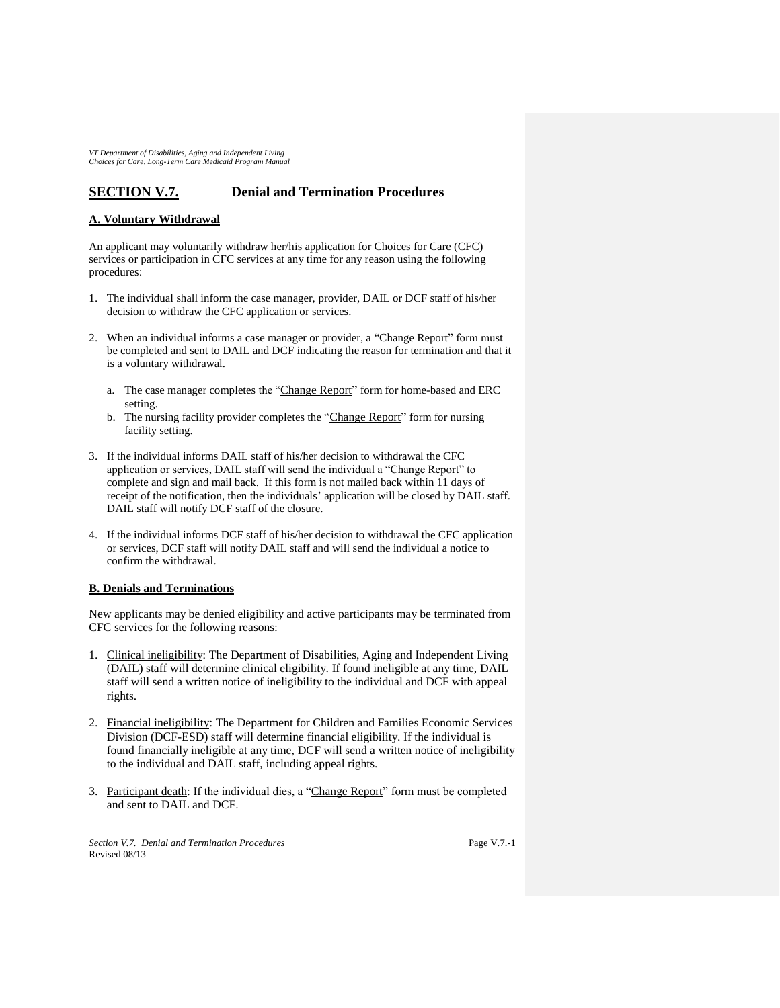## **SECTION V.7. Denial and Termination Procedures**

## **A. Voluntary Withdrawal**

An applicant may voluntarily withdraw her/his application for Choices for Care (CFC) services or participation in CFC services at any time for any reason using the following procedures:

- 1. The individual shall inform the case manager, provider, DAIL or DCF staff of his/her decision to withdraw the CFC application or services.
- 2. When an individual informs a case manager or provider, a "Change Report" form must be completed and sent to DAIL and DCF indicating the reason for termination and that it is a voluntary withdrawal.
	- a. The case manager completes the "Change Report" form for home-based and ERC setting.
	- b. The nursing facility provider completes the "Change Report" form for nursing facility setting.
- 3. If the individual informs DAIL staff of his/her decision to withdrawal the CFC application or services, DAIL staff will send the individual a "Change Report" to complete and sign and mail back. If this form is not mailed back within 11 days of receipt of the notification, then the individuals' application will be closed by DAIL staff. DAIL staff will notify DCF staff of the closure.
- 4. If the individual informs DCF staff of his/her decision to withdrawal the CFC application or services, DCF staff will notify DAIL staff and will send the individual a notice to confirm the withdrawal.

## **B. Denials and Terminations**

New applicants may be denied eligibility and active participants may be terminated from CFC services for the following reasons:

- 1. Clinical ineligibility: The Department of Disabilities, Aging and Independent Living (DAIL) staff will determine clinical eligibility. If found ineligible at any time, DAIL staff will send a written notice of ineligibility to the individual and DCF with appeal rights.
- 2. Financial ineligibility: The Department for Children and Families Economic Services Division (DCF-ESD) staff will determine financial eligibility. If the individual is found financially ineligible at any time, DCF will send a written notice of ineligibility to the individual and DAIL staff, including appeal rights.
- 3. Participant death: If the individual dies, a "Change Report" form must be completed and sent to DAIL and DCF.

*Section V.7. Denial and Termination Procedures* Revised 08/13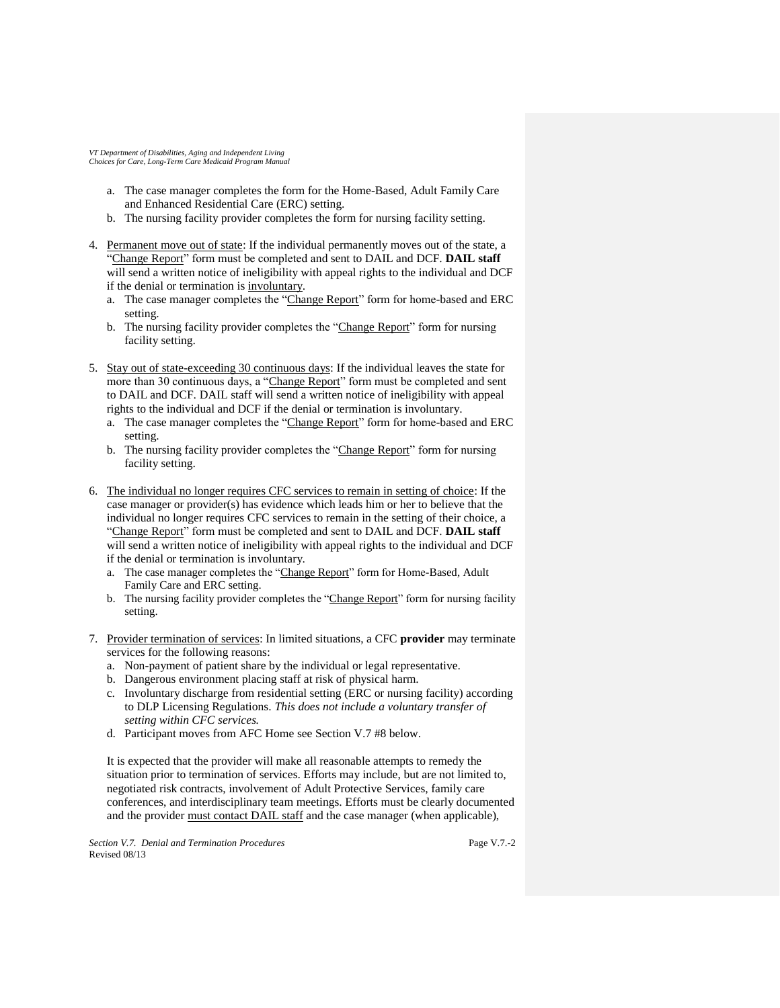- a. The case manager completes the form for the Home-Based, Adult Family Care and Enhanced Residential Care (ERC) setting.
- b. The nursing facility provider completes the form for nursing facility setting.
- 4. Permanent move out of state: If the individual permanently moves out of the state, a "Change Report" form must be completed and sent to DAIL and DCF. **DAIL staff**  will send a written notice of ineligibility with appeal rights to the individual and DCF if the denial or termination is involuntary.
	- a. The case manager completes the "Change Report" form for home-based and ERC setting.
	- b. The nursing facility provider completes the "Change Report" form for nursing facility setting.
- 5. Stay out of state-exceeding 30 continuous days: If the individual leaves the state for more than 30 continuous days, a "Change Report" form must be completed and sent to DAIL and DCF. DAIL staff will send a written notice of ineligibility with appeal rights to the individual and DCF if the denial or termination is involuntary.
	- a. The case manager completes the "Change Report" form for home-based and ERC setting.
	- b. The nursing facility provider completes the "Change Report" form for nursing facility setting.
- 6. The individual no longer requires CFC services to remain in setting of choice: If the case manager or provider(s) has evidence which leads him or her to believe that the individual no longer requires CFC services to remain in the setting of their choice, a "Change Report" form must be completed and sent to DAIL and DCF. **DAIL staff**  will send a written notice of ineligibility with appeal rights to the individual and DCF if the denial or termination is involuntary.
	- a. The case manager completes the "Change Report" form for Home-Based, Adult Family Care and ERC setting.
	- b. The nursing facility provider completes the "Change Report" form for nursing facility setting.
- 7. Provider termination of services: In limited situations, a CFC **provider** may terminate services for the following reasons:
	- a. Non-payment of patient share by the individual or legal representative.
	- b. Dangerous environment placing staff at risk of physical harm.
	- c. Involuntary discharge from residential setting (ERC or nursing facility) according to DLP Licensing Regulations. *This does not include a voluntary transfer of setting within CFC services.*
	- d. Participant moves from AFC Home see Section V.7 #8 below.

It is expected that the provider will make all reasonable attempts to remedy the situation prior to termination of services. Efforts may include, but are not limited to, negotiated risk contracts, involvement of Adult Protective Services, family care conferences, and interdisciplinary team meetings. Efforts must be clearly documented and the provider must contact DAIL staff and the case manager (when applicable),

*Section V.7. Denial and Termination Procedures* Revised 08/13

Page V.7.-2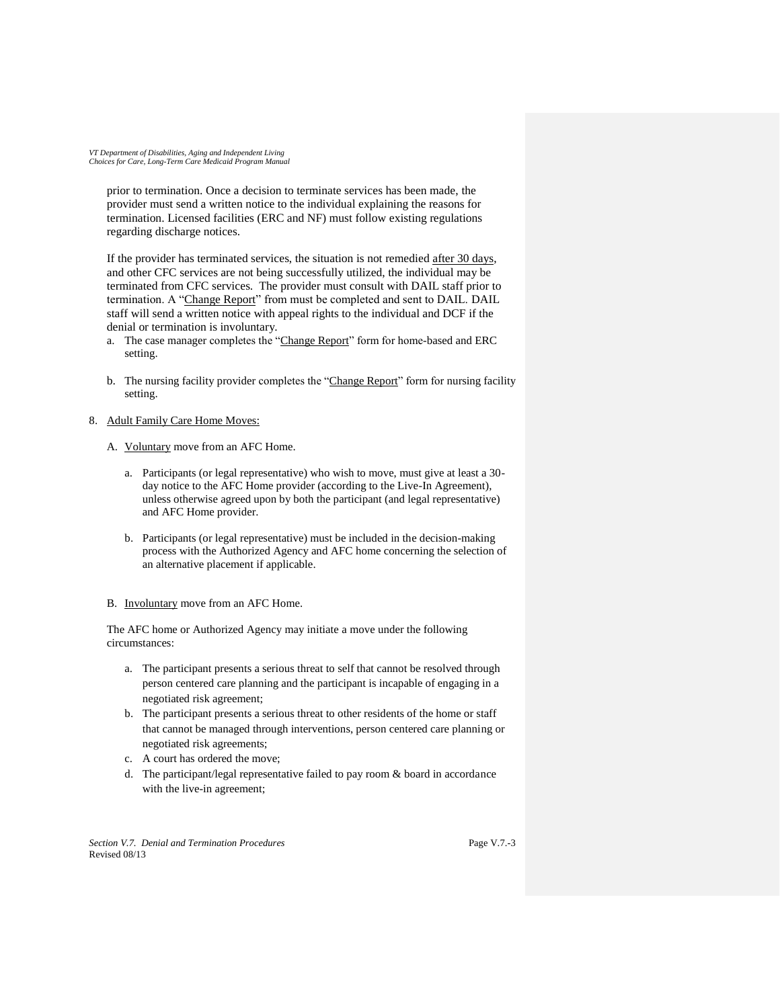prior to termination. Once a decision to terminate services has been made, the provider must send a written notice to the individual explaining the reasons for termination. Licensed facilities (ERC and NF) must follow existing regulations regarding discharge notices.

If the provider has terminated services, the situation is not remedied after 30 days, and other CFC services are not being successfully utilized, the individual may be terminated from CFC services. The provider must consult with DAIL staff prior to termination. A "Change Report" from must be completed and sent to DAIL. DAIL staff will send a written notice with appeal rights to the individual and DCF if the denial or termination is involuntary.

- a. The case manager completes the "Change Report" form for home-based and ERC setting.
- b. The nursing facility provider completes the "Change Report" form for nursing facility setting.

## 8. Adult Family Care Home Moves:

- A. Voluntary move from an AFC Home.
	- a. Participants (or legal representative) who wish to move, must give at least a 30 day notice to the AFC Home provider (according to the Live-In Agreement), unless otherwise agreed upon by both the participant (and legal representative) and AFC Home provider.
	- b. Participants (or legal representative) must be included in the decision-making process with the Authorized Agency and AFC home concerning the selection of an alternative placement if applicable.
- B. Involuntary move from an AFC Home.

The AFC home or Authorized Agency may initiate a move under the following circumstances:

- a. The participant presents a serious threat to self that cannot be resolved through person centered care planning and the participant is incapable of engaging in a negotiated risk agreement;
- b. The participant presents a serious threat to other residents of the home or staff that cannot be managed through interventions, person centered care planning or negotiated risk agreements;
- c. A court has ordered the move;
- d. The participant/legal representative failed to pay room & board in accordance with the live-in agreement;

*Section V.7. Denial and Termination Procedures* Revised 08/13